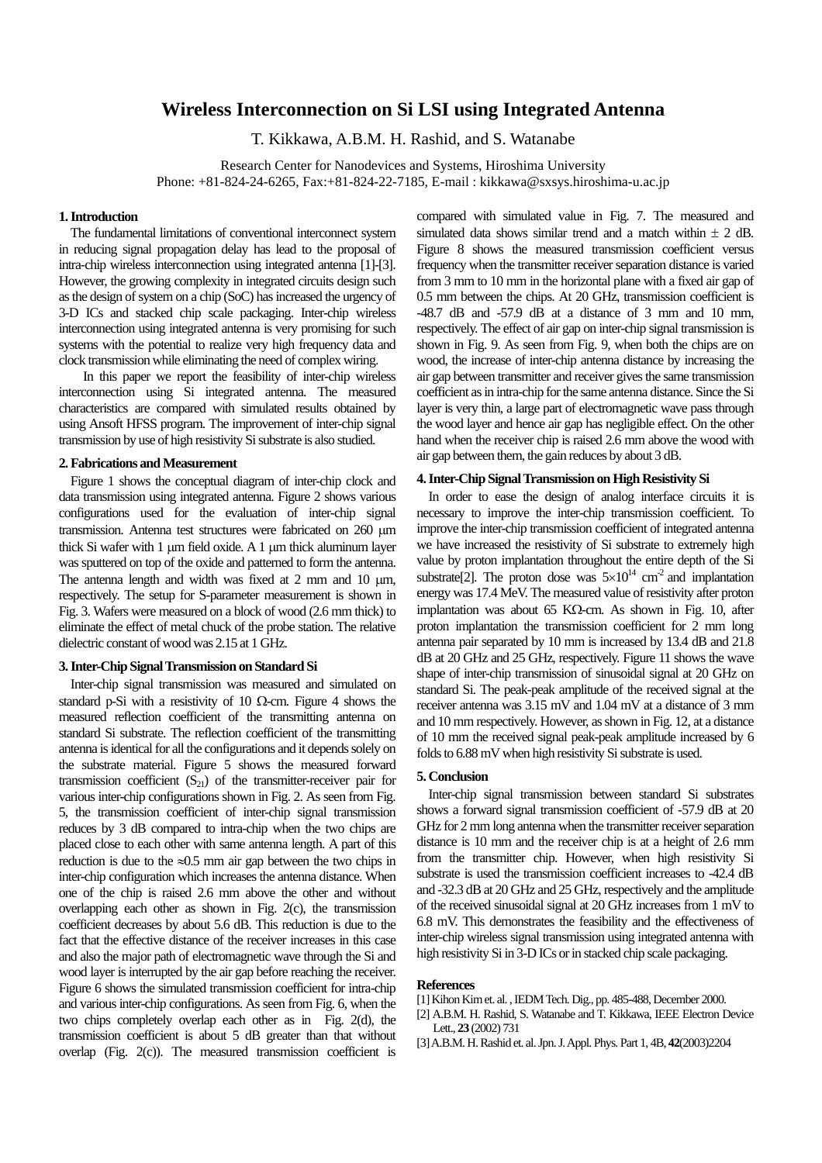# **Wireless Interconnection on Si LSI using Integrated Antenna**

T. Kikkawa, A.B.M. H. Rashid, and S. Watanabe

Research Center for Nanodevices and Systems, Hiroshima University Phone: +81-824-24-6265, Fax:+81-824-22-7185, E-mail : kikkawa@sxsys.hiroshima-u.ac.jp

### **1. Introduction**

The fundamental limitations of conventional interconnect system in reducing signal propagation delay has lead to the proposal of intra-chip wireless interconnection using integrated antenna [1]-[3]. However, the growing complexity in integrated circuits design such as the design of system on a chip (SoC) has increased the urgency of 3-D ICs and stacked chip scale packaging. Inter-chip wireless interconnection using integrated antenna is very promising for such systems with the potential to realize very high frequency data and clock transmission while eliminating the need of complex wiring.

 In this paper we report the feasibility of inter-chip wireless interconnection using Si integrated antenna. The measured characteristics are compared with simulated results obtained by using Ansoft HFSS program. The improvement of inter-chip signal transmission by use of high resistivity Si substrate is also studied.

#### **2. Fabrications and Measurement**

Figure 1 shows the conceptual diagram of inter-chip clock and data transmission using integrated antenna. Figure 2 shows various configurations used for the evaluation of inter-chip signal transmission. Antenna test structures were fabricated on 260 µm thick Si wafer with 1 um field oxide. A 1 um thick aluminum layer was sputtered on top of the oxide and patterned to form the antenna. The antenna length and width was fixed at 2 mm and 10  $\mu$ m, respectively. The setup for S-parameter measurement is shown in Fig. 3. Wafers were measured on a block of wood (2.6 mm thick) to eliminate the effect of metal chuck of the probe station. The relative dielectric constant of wood was 2.15 at 1 GHz.

#### **3. Inter-Chip Signal Transmission on Standard Si**

Inter-chip signal transmission was measured and simulated on standard p-Si with a resistivity of 10  $\Omega$ -cm. Figure 4 shows the measured reflection coefficient of the transmitting antenna on standard Si substrate. The reflection coefficient of the transmitting antenna is identical for all the configurations and it depends solely on the substrate material. Figure 5 shows the measured forward transmission coefficient  $(S_{21})$  of the transmitter-receiver pair for various inter-chip configurations shown in Fig. 2. As seen from Fig. 5, the transmission coefficient of inter-chip signal transmission reduces by 3 dB compared to intra-chip when the two chips are placed close to each other with same antenna length. A part of this reduction is due to the  $\approx 0.5$  mm air gap between the two chips in inter-chip configuration which increases the antenna distance. When one of the chip is raised 2.6 mm above the other and without overlapping each other as shown in Fig. 2(c), the transmission coefficient decreases by about 5.6 dB. This reduction is due to the fact that the effective distance of the receiver increases in this case and also the major path of electromagnetic wave through the Si and wood layer is interrupted by the air gap before reaching the receiver. Figure 6 shows the simulated transmission coefficient for intra-chip and various inter-chip configurations. As seen from Fig. 6, when the two chips completely overlap each other as in Fig. 2(d), the transmission coefficient is about 5 dB greater than that without overlap (Fig. 2(c)). The measured transmission coefficient is

compared with simulated value in Fig. 7. The measured and simulated data shows similar trend and a match within  $\pm$  2 dB. Figure 8 shows the measured transmission coefficient versus frequency when the transmitter receiver separation distance is varied from 3 mm to 10 mm in the horizontal plane with a fixed air gap of 0.5 mm between the chips. At 20 GHz, transmission coefficient is  $-48.7$  dB and  $-57.9$  dB at a distance of 3 mm and 10 mm, respectively. The effect of air gap on inter-chip signal transmission is shown in Fig. 9. As seen from Fig. 9, when both the chips are on wood, the increase of inter-chip antenna distance by increasing the air gap between transmitter and receiver gives the same transmission coefficient as in intra-chip for the same antenna distance. Since the Si layer is very thin, a large part of electromagnetic wave pass through the wood layer and hence air gap has negligible effect. On the other hand when the receiver chip is raised 2.6 mm above the wood with air gap between them, the gain reduces by about 3 dB.

## **4. Inter-Chip Signal Transmission on High Resistivity Si**

In order to ease the design of analog interface circuits it is necessary to improve the inter-chip transmission coefficient. To improve the inter-chip transmission coefficient of integrated antenna we have increased the resistivity of Si substrate to extremely high value by proton implantation throughout the entire depth of the Si substrate<sup>[2]</sup>. The proton dose was  $5\times10^{14}$  cm<sup>-2</sup> and implantation energy was 17.4 MeV. The measured value of resistivity after proton implantation was about 65 KΩ-cm. As shown in Fig. 10, after proton implantation the transmission coefficient for 2 mm long antenna pair separated by 10 mm is increased by 13.4 dB and 21.8 dB at 20 GHz and 25 GHz, respectively. Figure 11 shows the wave shape of inter-chip transmission of sinusoidal signal at 20 GHz on standard Si. The peak-peak amplitude of the received signal at the receiver antenna was 3.15 mV and 1.04 mV at a distance of 3 mm and 10 mm respectively. However, as shown in Fig. 12, at a distance of 10 mm the received signal peak-peak amplitude increased by 6 folds to 6.88 mV when high resistivity Si substrate is used.

## **5. Conclusion**

Inter-chip signal transmission between standard Si substrates shows a forward signal transmission coefficient of -57.9 dB at 20 GHz for 2 mm long antenna when the transmitter receiver separation distance is 10 mm and the receiver chip is at a height of 2.6 mm from the transmitter chip. However, when high resistivity Si substrate is used the transmission coefficient increases to -42.4 dB and -32.3 dB at 20 GHz and 25 GHz, respectively and the amplitude of the received sinusoidal signal at 20 GHz increases from 1 mV to 6.8 mV. This demonstrates the feasibility and the effectiveness of inter-chip wireless signal transmission using integrated antenna with high resistivity Si in 3-D ICs or in stacked chip scale packaging.

#### **References**

- [1] Kihon Kim et. al. , IEDM Tech. Dig., pp. 485-488, December 2000.
- [2] A.B.M. H. Rashid, S. Watanabe and T. Kikkawa, IEEE Electron Device Lett., **23** (2002) 731
- [3] A.B.M. H. Rashid et. al. Jpn. J. Appl. Phys. Part 1, 4B, **42**(2003)2204